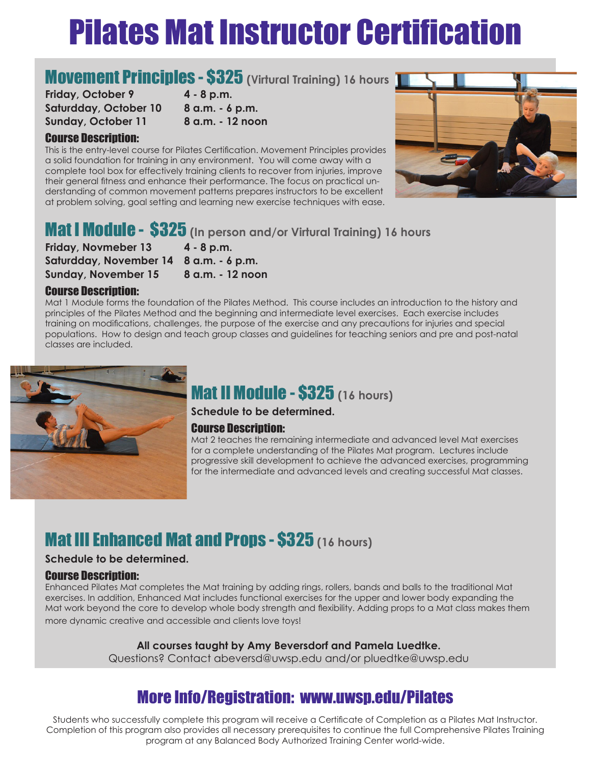# Pilates Mat Instructor Certification

### **Movement Principles - \$325** (Virtural Training) 16 hours 1

**Friday, October 9 4 - 8 p.m. Saturdday, October 10 8 a.m. - 6 p.m. Sunday, October 11 8 a.m. - 12 noon**

### Course Description:

This is the entry-level course for Pilates Certification. Movement Principles provides a solid foundation for training in any environment. You will come away with a complete tool box for effectively training clients to recover from injuries, improve their general fitness and enhance their performance. The focus on practical understanding of common movement patterns prepares instructors to be excellent at problem solving, goal setting and learning new exercise techniques with ease.



## Mat I Module - \$325 **(In person and/or Virtural Training) 16 hours**

**Friday, Novmeber 13 4 - 8 p.m. Saturdday, November 14 8 a.m. - 6 p.m. Sunday, November 15 8 a.m. - 12 noon**

#### Course Description:

Mat 1 Module forms the foundation of the Pilates Method. This course includes an introduction to the history and principles of the Pilates Method and the beginning and intermediate level exercises. Each exercise includes training on modifications, challenges, the purpose of the exercise and any precautions for injuries and special populations. How to design and teach group classes and guidelines for teaching seniors and pre and post-natal classes are included.



# Mat II Module - \$325 **(16 hours)**

**Schedule to be determined.** 

### Course Description:

Mat 2 teaches the remaining intermediate and advanced level Mat exercises for a complete understanding of the Pilates Mat program. Lectures include progressive skill development to achieve the advanced exercises, programming for the intermediate and advanced levels and creating successful Mat classes.

### Mat III Enhanced Mat and Props - \$325 **(16 hours)**

#### **Schedule to be determined.**

#### Course Description:

Enhanced Pilates Mat completes the Mat training by adding rings, rollers, bands and balls to the traditional Mat exercises. In addition, Enhanced Mat includes functional exercises for the upper and lower body expanding the Mat work beyond the core to develop whole body strength and flexibility. Adding props to a Mat class makes them more dynamic creative and accessible and clients love toys!

### **All courses taught by Amy Beversdorf and Pamela Luedtke.**

Questions? Contact abeversd@uwsp.edu and/or pluedtke@uwsp.edu

### More Info/Registration: www.uwsp.edu/Pilates

Students who successfully complete this program will receive a Certificate of Completion as a Pilates Mat Instructor. Completion of this program also provides all necessary prerequisites to continue the full Comprehensive Pilates Training program at any Balanced Body Authorized Training Center world-wide.